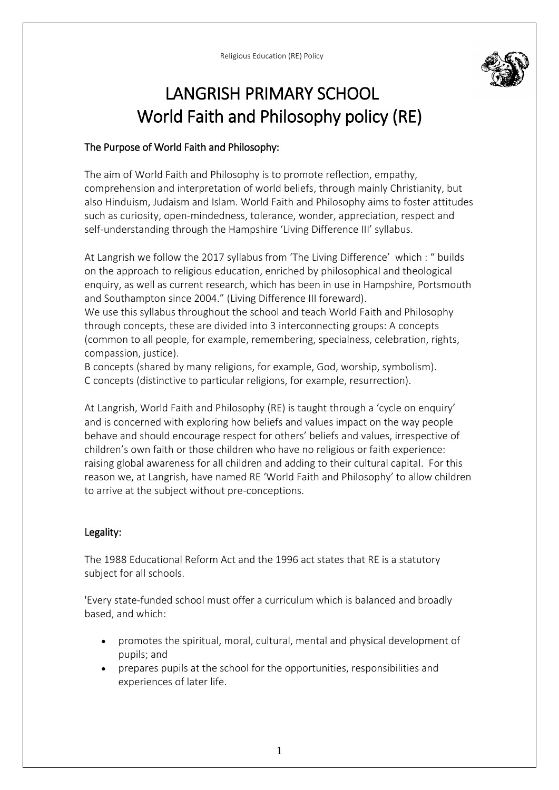

# LANGRISH PRIMARY SCHOOL World Faith and Philosophy policy (RE)

# The Purpose of World Faith and Philosophy:

The aim of World Faith and Philosophy is to promote reflection, empathy, comprehension and interpretation of world beliefs, through mainly Christianity, but also Hinduism, Judaism and Islam. World Faith and Philosophy aims to foster attitudes such as curiosity, open-mindedness, tolerance, wonder, appreciation, respect and self-understanding through the Hampshire 'Living Difference III' syllabus.

At Langrish we follow the 2017 syllabus from 'The Living Difference' which : " builds on the approach to religious education, enriched by philosophical and theological enquiry, as well as current research, which has been in use in Hampshire, Portsmouth and Southampton since 2004." (Living Difference III foreward).

We use this syllabus throughout the school and teach World Faith and Philosophy through concepts, these are divided into 3 interconnecting groups: A concepts (common to all people, for example, remembering, specialness, celebration, rights, compassion, justice).

B concepts (shared by many religions, for example, God, worship, symbolism). C concepts (distinctive to particular religions, for example, resurrection).

At Langrish, World Faith and Philosophy (RE) is taught through a 'cycle on enquiry' and is concerned with exploring how beliefs and values impact on the way people behave and should encourage respect for others' beliefs and values, irrespective of children's own faith or those children who have no religious or faith experience: raising global awareness for all children and adding to their cultural capital. For this reason we, at Langrish, have named RE 'World Faith and Philosophy' to allow children to arrive at the subject without pre-conceptions.

## Legality:

The 1988 Educational Reform Act and the 1996 act states that RE is a statutory subject for all schools.

'Every state-funded school must offer a curriculum which is balanced and broadly based, and which:

- promotes the spiritual, moral, cultural, mental and physical development of pupils; and
- prepares pupils at the school for the opportunities, responsibilities and experiences of later life.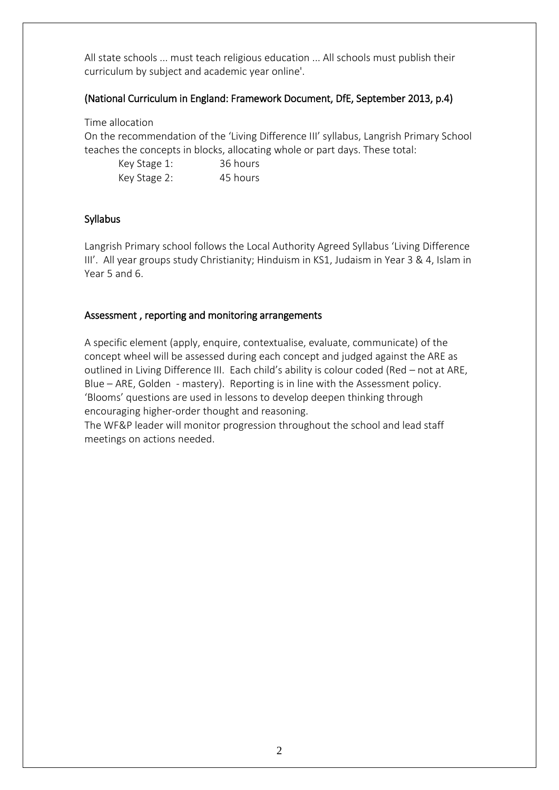All state schools ... must teach religious education ... All schools must publish their curriculum by subject and academic year online'.

#### (National Curriculum in England: Framework Document, DfE, September 2013, p.4)

Time allocation

On the recommendation of the 'Living Difference III' syllabus, Langrish Primary School teaches the concepts in blocks, allocating whole or part days. These total:

| Key Stage 1: | 36 hours |
|--------------|----------|
| Key Stage 2: | 45 hours |

#### Syllabus

Langrish Primary school follows the Local Authority Agreed Syllabus 'Living Difference III'. All year groups study Christianity; Hinduism in KS1, Judaism in Year 3 & 4, Islam in Year 5 and 6.

#### Assessment , reporting and monitoring arrangements

A specific element (apply, enquire, contextualise, evaluate, communicate) of the concept wheel will be assessed during each concept and judged against the ARE as outlined in Living Difference III. Each child's ability is colour coded (Red – not at ARE, Blue – ARE, Golden - mastery). Reporting is in line with the Assessment policy. 'Blooms' questions are used in lessons to develop deepen thinking through encouraging higher-order thought and reasoning.

The WF&P leader will monitor progression throughout the school and lead staff meetings on actions needed.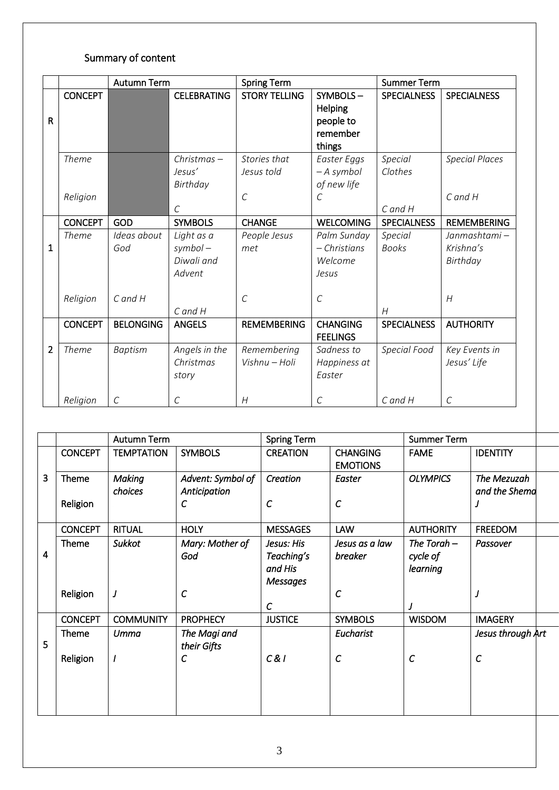# Summary of content

|                |                | <b>Autumn Term</b> |                                                  | <b>Spring Term</b>                          |                                                                   | <b>Summer Term</b>      |                                       |
|----------------|----------------|--------------------|--------------------------------------------------|---------------------------------------------|-------------------------------------------------------------------|-------------------------|---------------------------------------|
| $\mathsf{R}$   | <b>CONCEPT</b> |                    | <b>CELEBRATING</b>                               | <b>STORY TELLING</b>                        | SYMBOLS-<br><b>Helping</b><br>people to<br>remember<br>things     | <b>SPECIALNESS</b>      | <b>SPECIALNESS</b>                    |
|                | <b>Theme</b>   |                    | $Christmas -$<br>Jesus'<br>Birthday              | Stories that<br>Jesus told<br>$\mathcal{C}$ | Easter Eggs<br>- A symbol<br>of new life<br>$\mathcal{C}_{0}^{2}$ | Special<br>Clothes      | <b>Special Places</b><br>$C$ and $H$  |
|                | Religion       |                    | $\mathcal{C}$                                    |                                             |                                                                   | $C$ and $H$             |                                       |
|                | <b>CONCEPT</b> | GOD                | <b>SYMBOLS</b>                                   | <b>CHANGE</b>                               | <b>WELCOMING</b>                                                  | <b>SPECIALNESS</b>      | <b>REMEMBERING</b>                    |
| $\mathbf{1}$   | <b>Theme</b>   | Ideas about<br>God | Light as a<br>$symbol$ –<br>Diwali and<br>Advent | People Jesus<br>met                         | Palm Sunday<br>$-$ Christians<br>Welcome<br>Jesus                 | Special<br><b>Books</b> | Janmashtami-<br>Krishna's<br>Birthday |
|                | Religion       | $C$ and $H$        | $C$ and $H$                                      | $\mathcal{C}$                               | $\mathcal{C}$                                                     | H                       | H                                     |
|                | <b>CONCEPT</b> | <b>BELONGING</b>   | <b>ANGELS</b>                                    | <b>REMEMBERING</b>                          | <b>CHANGING</b><br><b>FEELINGS</b>                                | <b>SPECIALNESS</b>      | <b>AUTHORITY</b>                      |
| $\overline{2}$ | Theme          | <b>Baptism</b>     | Angels in the<br>Christmas<br>story              | Remembering<br>Vishnu - Holi                | Sadness to<br>Happiness at<br>Easter                              | Special Food            | Key Events in<br>Jesus' Life          |
|                | Religion       | $\mathcal{C}$      | $\cal C$                                         | H                                           | $\cal C$                                                          | $C$ and $H$             | $\mathcal{C}$                         |

|   |                | <b>Autumn Term</b> |                               | <b>Spring Term</b>                                     |                                    | <b>Summer Term</b>                    |                   |  |
|---|----------------|--------------------|-------------------------------|--------------------------------------------------------|------------------------------------|---------------------------------------|-------------------|--|
|   | <b>CONCEPT</b> | <b>TEMPTATION</b>  | <b>SYMBOLS</b>                | <b>CREATION</b>                                        | <b>CHANGING</b><br><b>EMOTIONS</b> | <b>FAME</b>                           | <b>IDENTITY</b>   |  |
| 3 | Theme          | <b>Making</b>      | Advent: Symbol of             | Creation                                               | Easter                             | <b>OLYMPICS</b>                       | The Mezuzah       |  |
|   | Religion       | choices            | Anticipation<br>$\mathcal{C}$ | $\mathcal{C}$                                          | $\mathcal{C}$                      |                                       | and the Shema     |  |
|   | <b>CONCEPT</b> | <b>RITUAL</b>      | <b>HOLY</b>                   | <b>MESSAGES</b>                                        | <b>LAW</b>                         | <b>AUTHORITY</b>                      | <b>FREEDOM</b>    |  |
| 4 | Theme          | <b>Sukkot</b>      | Mary: Mother of<br>God        | Jesus: His<br>Teaching's<br>and His<br><b>Messages</b> | Jesus as a law<br>breaker          | The Torah $-$<br>cycle of<br>learning | Passover          |  |
|   | Religion       | J                  | $\mathcal{C}$                 | $\mathcal{C}$                                          | $\mathcal{C}$                      | J                                     | J                 |  |
|   | <b>CONCEPT</b> | <b>COMMUNITY</b>   | <b>PROPHECY</b>               | <b>JUSTICE</b>                                         | <b>SYMBOLS</b>                     | <b>WISDOM</b>                         | <b>IMAGERY</b>    |  |
| 5 | Theme          | Umma               | The Magi and<br>their Gifts   |                                                        | Eucharist                          |                                       | Jesus through Art |  |
|   | Religion       |                    | $\mathcal C$                  | C&1                                                    | $\mathcal{C}$                      | $\mathcal{C}$                         | $\mathcal{C}$     |  |
|   |                |                    |                               |                                                        |                                    |                                       |                   |  |